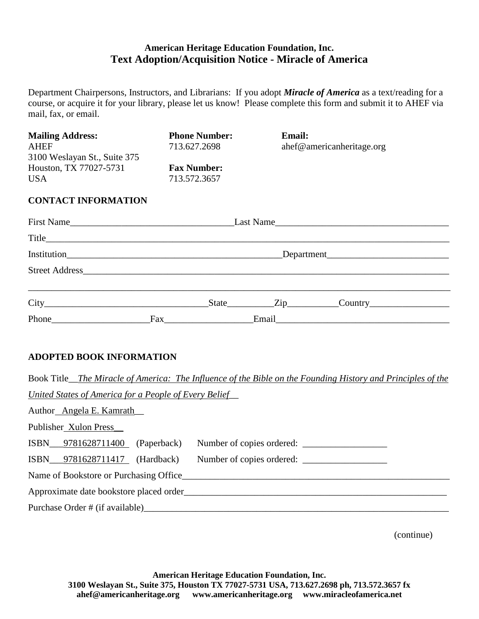## **American Heritage Education Foundation, Inc. Text Adoption/Acquisition Notice - Miracle of America**

Department Chairpersons, Instructors, and Librarians: If you adopt *Miracle of America* as a text/reading for a course, or acquire it for your library, please let us know! Please complete this form and submit it to AHEF via mail, fax, or email.

| <b>Mailing Address:</b>      | <b>Phone Number:</b> | <b>Email:</b>             |
|------------------------------|----------------------|---------------------------|
| <b>AHEF</b>                  | 713.627.2698         | ahef@americanheritage.org |
| 3100 Weslayan St., Suite 375 |                      |                           |
| Houston, TX 77027-5731       | <b>Fax Number:</b>   |                           |
| <b>USA</b>                   | 713.572.3657         |                           |
|                              |                      |                           |
| <b>CONTACT INFORMATION</b>   |                      |                           |
|                              |                      |                           |
| First Name                   |                      | Last Name                 |
| Title                        |                      |                           |
|                              |                      |                           |

| Institution                                                                                                                       |     | Department |                  |                  |  |
|-----------------------------------------------------------------------------------------------------------------------------------|-----|------------|------------------|------------------|--|
| <b>Street Address</b>                                                                                                             |     |            |                  |                  |  |
| <b>City</b><br><u> 1980 - Jan Stein Harry Harry Harry Harry Harry Harry Harry Harry Harry Harry Harry Harry Harry Harry Harry</u> |     | State      | $\mathsf{Zip}\_$ | $\text{Country}$ |  |
| Phone                                                                                                                             | Fax |            | Email            |                  |  |

## **ADOPTED BOOK INFORMATION**

| Book Title_The Miracle of America: The Influence of the Bible on the Founding History and Principles of the |  |  |  |  |  |
|-------------------------------------------------------------------------------------------------------------|--|--|--|--|--|
| <u>United States of America for a People of Every Belief</u>                                                |  |  |  |  |  |
| Author Angela E. Kamrath                                                                                    |  |  |  |  |  |
| Publisher Xulon Press                                                                                       |  |  |  |  |  |
| ISBN 9781628711400 (Paperback)                                                                              |  |  |  |  |  |
| ISBN 9781628711417 (Hardback)<br>Number of copies ordered:                                                  |  |  |  |  |  |
| Name of Bookstore or Purchasing Office                                                                      |  |  |  |  |  |
| Approximate date bookstore placed order                                                                     |  |  |  |  |  |
|                                                                                                             |  |  |  |  |  |

(continue)